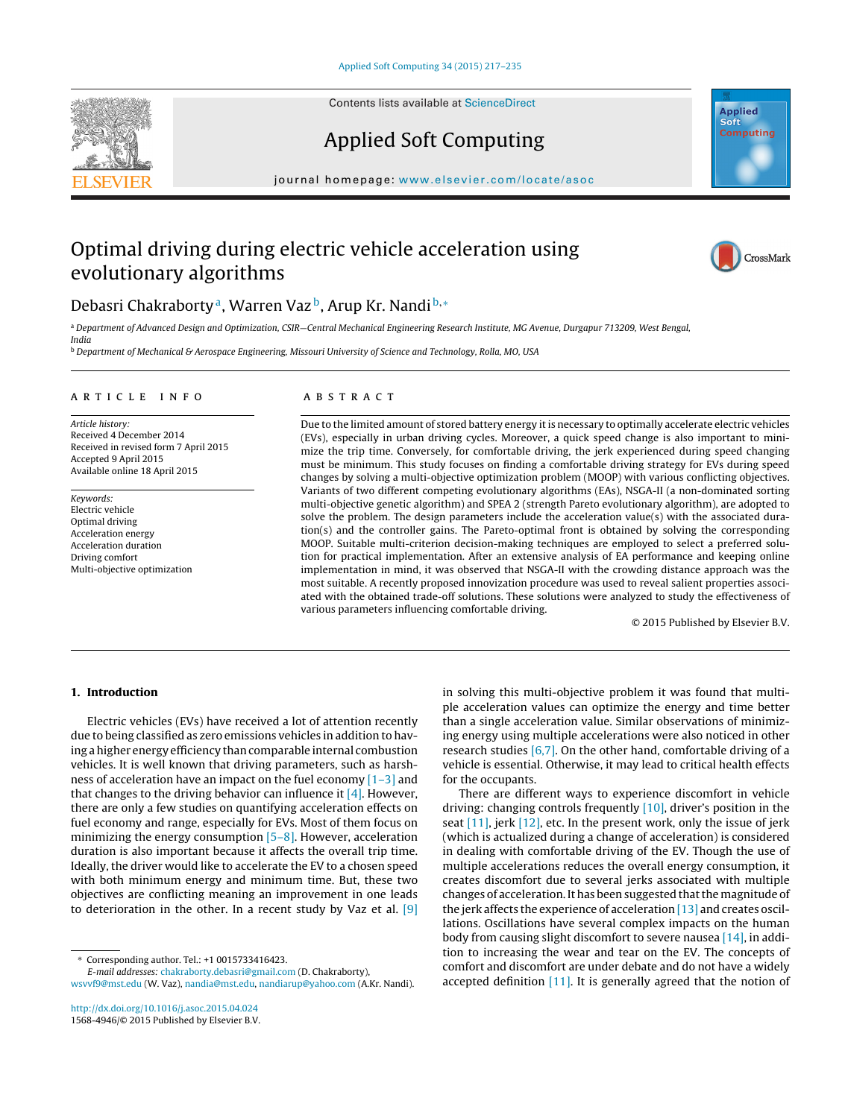Contents lists available at [ScienceDirect](http://www.sciencedirect.com/science/journal/15684946)



# Applied Soft Computing

journal homepage: <www.elsevier.com/locate/asoc>

### Optimal driving during electric vehicle acceleration using evolutionary algorithms



### Debasri Chakraborty<sup>a</sup>, Warren Vaz<sup>b</sup>, Arup Kr. Nandi <sup>b,∗</sup>

a Department of Advanced Design and Optimization, CSIR-Central Mechanical Engineering Research Institute, MG Avenue, Durgapur 713209, West Bengal, India

**b** Department of Mechanical & Aerospace Engineering, Missouri University of Science and Technology, Rolla, MO, USA

#### a r t i c l e i n f o

Article history: Received 4 December 2014 Received in revised form 7 April 2015 Accepted 9 April 2015 Available online 18 April 2015

Keywords: Electric vehicle Optimal driving Acceleration energy Acceleration duration Driving comfort Multi-objective optimization

#### A B S T R A C T

Due to the limited amount of stored battery energy itis necessary to optimally accelerate electric vehicles (EVs), especially in urban driving cycles. Moreover, a quick speed change is also important to minimize the trip time. Conversely, for comfortable driving, the jerk experienced during speed changing must be minimum. This study focuses on finding a comfortable driving strategy for EVs during speed changes by solving a multi-objective optimization problem (MOOP) with various conflicting objectives. Variants of two different competing evolutionary algorithms (EAs), NSGA-II (a non-dominated sorting multi-objective genetic algorithm) and SPEA 2 (strength Pareto evolutionary algorithm), are adopted to solve the problem. The design parameters include the acceleration value(s) with the associated duration(s) and the controller gains. The Pareto-optimal front is obtained by solving the corresponding MOOP. Suitable multi-criterion decision-making techniques are employed to select a preferred solution for practical implementation. After an extensive analysis of EA performance and keeping online implementation in mind, it was observed that NSGA-II with the crowding distance approach was the most suitable. A recently proposed innovization procedure was used to reveal salient properties associated with the obtained trade-off solutions. These solutions were analyzed to study the effectiveness of various parameters influencing comfortable driving.

© 2015 Published by Elsevier B.V.

### **1. Introduction**

Electric vehicles (EVs) have received a lot of attention recently due to being classified as zero emissions vehicles in addition to having ahigher energy efficiency thancomparable internal combustion vehicles. It is well known that driving parameters, such as harshness of acceleration have an impact on the fuel economy  $[1-3]$  and that changes to the driving behavior can influence it  $[4]$ . However, there are only a few studies on quantifying acceleration effects on fuel economy and range, especially for EVs. Most of them focus on minimizing the energy consumption [\[5–8\].](#page--1-0) However, acceleration duration is also important because it affects the overall trip time. Ideally, the driver would like to accelerate the EV to a chosen speed with both minimum energy and minimum time. But, these two objectives are conflicting meaning an improvement in one leads to deterioration in the other. In a recent study by Vaz et al. [\[9\]](#page--1-0)

∗ Corresponding author. Tel.: +1 0015733416423.

E-mail addresses: [chakraborty.debasri@gmail.com](mailto:chakraborty.debasri@gmail.com) (D. Chakraborty), [wsvvf9@mst.edu](mailto:wsvvf9@mst.edu) (W. Vaz), [nandia@mst.edu](mailto:nandia@mst.edu), [nandiarup@yahoo.com](mailto:nandiarup@yahoo.com) (A.Kr. Nandi).

[http://dx.doi.org/10.1016/j.asoc.2015.04.024](dx.doi.org/10.1016/j.asoc.2015.04.024) 1568-4946/© 2015 Published by Elsevier B.V. in solving this multi-objective problem it was found that multiple acceleration values can optimize the energy and time better than a single acceleration value. Similar observations of minimizing energy using multiple accelerations were also noticed in other research studies  $[6,7]$ . On the other hand, comfortable driving of a vehicle is essential. Otherwise, it may lead to critical health effects for the occupants.

There are different ways to experience discomfort in vehicle driving: changing controls frequently [\[10\],](#page--1-0) driver's position in the seat [\[11\],](#page--1-0) jerk [\[12\],](#page--1-0) etc. In the present work, only the issue of jerk (which is actualized during a change of acceleration) is considered in dealing with comfortable driving of the EV. Though the use of multiple accelerations reduces the overall energy consumption, it creates discomfort due to several jerks associated with multiple changes of acceleration. It has been suggested that the magnitude of the jerk affects the experience of acceleration [\[13\]](#page--1-0) and creates oscillations. Oscillations have several complex impacts on the human body from causing slight discomfort to severe nausea  $[14]$ , in addition to increasing the wear and tear on the EV. The concepts of comfort and discomfort are under debate and do not have a widely accepted definition [\[11\].](#page--1-0) It is generally agreed that the notion of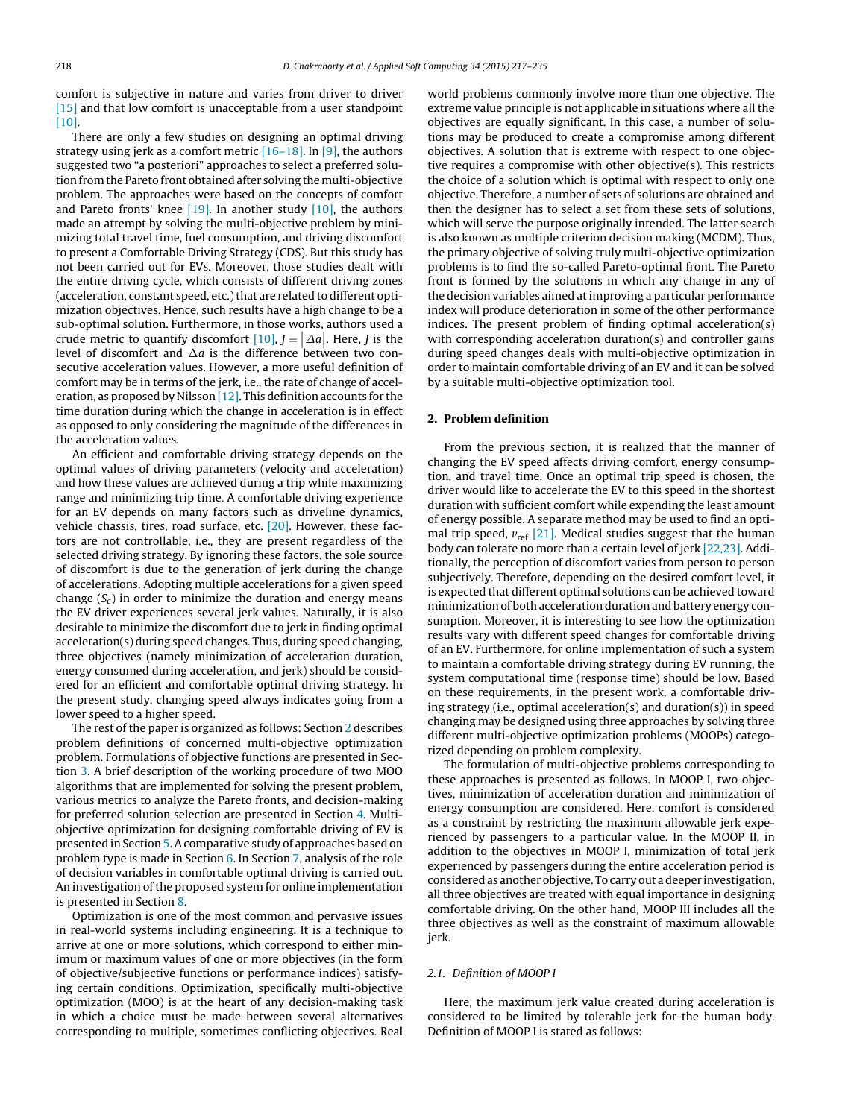comfort is subjective in nature and varies from driver to driver [\[15\]](#page--1-0) and that low comfort is unacceptable from a user standpoint [\[10\].](#page--1-0)

There are only a few studies on designing an optimal driving strategy using jerk as a comfort metric  $[16-18]$ . In  $[9]$ , the authors suggested two "a posteriori" approaches to select a preferred solution from the Pareto front obtained after solving the multi-objective problem. The approaches were based on the concepts of comfort and Pareto fronts' knee [\[19\].](#page--1-0) In another study [\[10\],](#page--1-0) the authors made an attempt by solving the multi-objective problem by minimizing total travel time, fuel consumption, and driving discomfort to present a Comfortable Driving Strategy (CDS). But this study has not been carried out for EVs. Moreover, those studies dealt with the entire driving cycle, which consists of different driving zones (acceleration, constant speed, etc.) that are related to different optimization objectives. Hence, such results have a high change to be a sub-optimal solution. Furthermore, in those works, authors used a crude metric to quantify discomfort  $[10]$ ,  $J = \big| \varDelta a \big|$ . Here,  $J$  is the Erade metric to quantify discomfort  $[10]$ ,  $J = [2a]$ . Tiere, f is the light level of discomfort and  $\Delta a$  is the difference between two consecutive acceleration values. However, a more useful definition of comfort may be in terms of the jerk, i.e., the rate of change of acceleration, as proposed by Nilsson  $[12]$ . This definition accounts for the time duration during which the change in acceleration is in effect as opposed to only considering the magnitude of the differences in the acceleration values.

An efficient and comfortable driving strategy depends on the optimal values of driving parameters (velocity and acceleration) and how these values are achieved during a trip while maximizing range and minimizing trip time. A comfortable driving experience for an EV depends on many factors such as driveline dynamics, vehicle chassis, tires, road surface, etc. [\[20\].](#page--1-0) However, these factors are not controllable, i.e., they are present regardless of the selected driving strategy. By ignoring these factors, the sole source of discomfort is due to the generation of jerk during the change of accelerations. Adopting multiple accelerations for a given speed change  $(S_c)$  in order to minimize the duration and energy means the EV driver experiences several jerk values. Naturally, it is also desirable to minimize the discomfort due to jerk in finding optimal acceleration(s) during speed changes. Thus, during speed changing, three objectives (namely minimization of acceleration duration, energy consumed during acceleration, and jerk) should be considered for an efficient and comfortable optimal driving strategy. In the present study, changing speed always indicates going from a lower speed to a higher speed.

The rest of the paper is organized as follows: Section 2 describes problem definitions of concerned multi-objective optimization problem. Formulations of objective functions are presented in Section [3.](#page--1-0) A brief description of the working procedure of two MOO algorithms that are implemented for solving the present problem, various metrics to analyze the Pareto fronts, and decision-making for preferred solution selection are presented in Section [4.](#page--1-0) Multiobjective optimization for designing comfortable driving of EV is presented in Section [5.](#page--1-0) A comparative study of approaches based on problem type is made in Section [6.](#page--1-0) In Section [7,](#page--1-0) analysis of the role of decision variables in comfortable optimal driving is carried out. An investigation of the proposed system for online implementation is presented in Section [8.](#page--1-0)

Optimization is one of the most common and pervasive issues in real-world systems including engineering. It is a technique to arrive at one or more solutions, which correspond to either minimum or maximum values of one or more objectives (in the form of objective/subjective functions or performance indices) satisfying certain conditions. Optimization, specifically multi-objective optimization (MOO) is at the heart of any decision-making task in which a choice must be made between several alternatives corresponding to multiple, sometimes conflicting objectives. Real world problems commonly involve more than one objective. The extreme value principle is not applicable in situations where all the objectives are equally significant. In this case, a number of solutions may be produced to create a compromise among different objectives. A solution that is extreme with respect to one objective requires a compromise with other objective(s). This restricts the choice of a solution which is optimal with respect to only one objective. Therefore, a number of sets of solutions are obtained and then the designer has to select a set from these sets of solutions, which will serve the purpose originally intended. The latter search is also known as multiple criterion decision making (MCDM). Thus, the primary objective of solving truly multi-objective optimization problems is to find the so-called Pareto-optimal front. The Pareto front is formed by the solutions in which any change in any of the decision variables aimed atimproving a particular performance index will produce deterioration in some of the other performance indices. The present problem of finding optimal acceleration(s) with corresponding acceleration duration(s) and controller gains during speed changes deals with multi-objective optimization in order to maintain comfortable driving of an EV and it can be solved by a suitable multi-objective optimization tool.

#### **2. Problem definition**

From the previous section, it is realized that the manner of changing the EV speed affects driving comfort, energy consumption, and travel time. Once an optimal trip speed is chosen, the driver would like to accelerate the EV to this speed in the shortest duration with sufficient comfort while expending the least amount of energy possible. A separate method may be used to find an optimal trip speed, *v*ref [\[21\].](#page--1-0) Medical studies suggest that the human body can tolerate no more than a certain level of jerk [\[22,23\].](#page--1-0) Additionally, the perception of discomfort varies from person to person subjectively. Therefore, depending on the desired comfort level, it is expected that different optimal solutions can be achieved toward minimization of both acceleration duration and battery energy consumption. Moreover, it is interesting to see how the optimization results vary with different speed changes for comfortable driving of an EV. Furthermore, for online implementation of such a system to maintain a comfortable driving strategy during EV running, the system computational time (response time) should be low. Based on these requirements, in the present work, a comfortable driving strategy (i.e., optimal acceleration(s) and duration(s)) in speed changing may be designed using three approaches by solving three different multi-objective optimization problems (MOOPs) categorized depending on problem complexity.

The formulation of multi-objective problems corresponding to these approaches is presented as follows. In MOOP I, two objectives, minimization of acceleration duration and minimization of energy consumption are considered. Here, comfort is considered as a constraint by restricting the maximum allowable jerk experienced by passengers to a particular value. In the MOOP II, in addition to the objectives in MOOP I, minimization of total jerk experienced by passengers during the entire acceleration period is considered as another objective. To carry out a deeper investigation, all three objectives are treated with equal importance in designing comfortable driving. On the other hand, MOOP III includes all the three objectives as well as the constraint of maximum allowable jerk.

#### 2.1. Definition of MOOP I

Here, the maximum jerk value created during acceleration is considered to be limited by tolerable jerk for the human body. Definition of MOOP I is stated as follows: